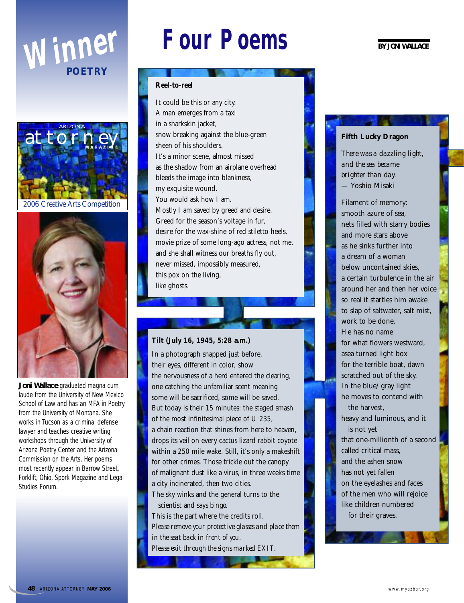





**Joni Wallace** graduated magna cum laude from the University of New Mexico School of Law and has an MFA in Poetry from the University of Montana. She works in Tucson as a criminal defense lawyer and teaches creative writing workshops through the University of Arizona Poetry Center and the Arizona Commission on the Arts. Her poems most recently appear in *Barrow Street, Forklift, Ohio, Spork Magazine* and *Legal Studies Forum*.

# **FOUR POEMS** BY JONI WALLACE

### **Reel-to-reel**

It could be this or any city. A man emerges from a taxi in a sharkskin jacket, snow breaking against the blue-green sheen of his shoulders. It's a minor scene, almost missed as the shadow from an airplane overhead bleeds the image into blankness, my exquisite wound. You would ask how I am. Mostly I am saved by greed and desire. Greed for the season's voltage in fur, desire for the wax-shine of red stiletto heels, movie prize of some long-ago actress, not me, and she shall witness our breaths fly out, never missed, impossibly measured, this pox on the living, like ghosts.

# **Tilt (July 16, 1945, 5:28 a.m.)**

In a photograph snapped just before, their eyes, different in color, show the nervousness of a herd entered the clearing, one catching the unfamiliar scent meaning some will be sacrificed, some will be saved. But today is their 15 minutes: the staged smash of the most infinitesimal piece of U 235, a chain reaction that shines from here to heaven, drops its veil on every cactus lizard rabbit coyote within a 250 mile wake. Still, it's only a makeshift for other crimes. Those trickle out the canopy of malignant dust like a virus, in three weeks time a city incinerated, then two cities.

The sky winks and the general turns to the scientist and says *bingo.*

This is the part where the credits roll. *Please remove your protective glasses and place them in the seat back in front of you. Please exit through the signs marked EXIT.*

# **Fifth Lucky Dragon**

*There was a dazzling light, and the sea became brighter than day.* — Yoshio Misaki

Filament of memory: smooth azure of sea, nets filled with starry bodies and more stars above as he sinks further into a dream of a woman below uncontained skies, a certain turbulence in the air around her and then her voice so real it startles him awake to slap of saltwater, salt mist, work to be done. He has no name for what flowers westward, asea turned light box for the terrible boat, dawn scratched out of the sky. In the blue/gray light he moves to contend with the harvest, heavy and luminous, and it is not yet

that one-millionth of a second called critical mass, and the ashen snow has not yet fallen on the eyelashes and faces of the men who will rejoice like children numbered for their graves.